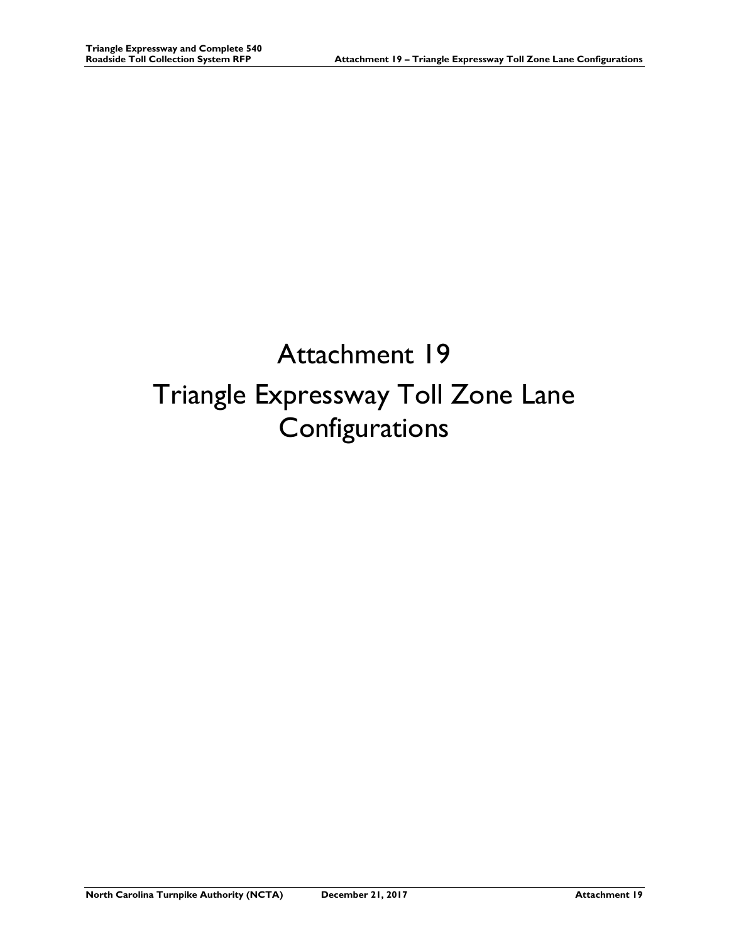## Attachment 19 Triangle Expressway Toll Zone Lane Configurations